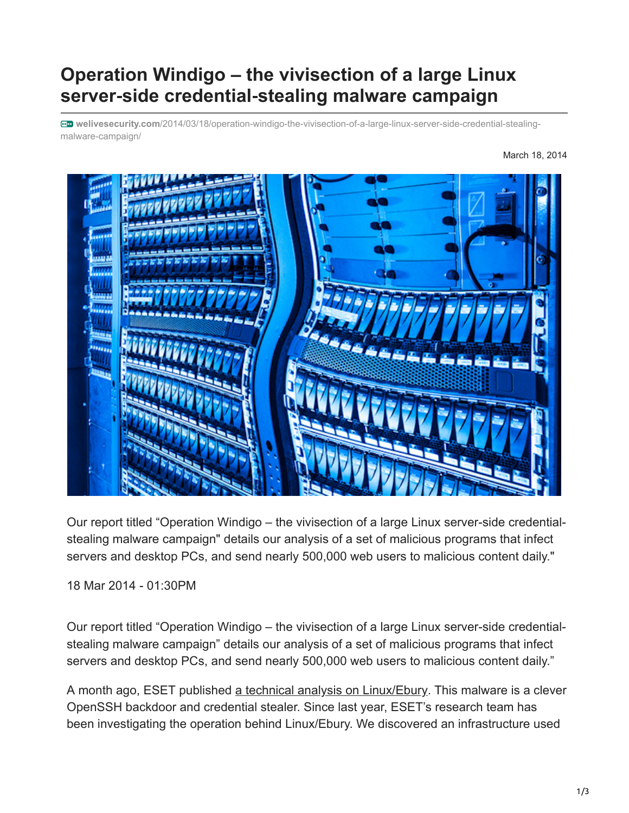## **Operation Windigo – the vivisection of a large Linux server**‑**side credential**‑**stealing malware campaign**

**welivesecurity.com**[/2014/03/18/operation-windigo-the-vivisection-of-a-large-linux-server-side-credential-stealing](https://www.welivesecurity.com/2014/03/18/operation-windigo-the-vivisection-of-a-large-linux-server-side-credential-stealing-malware-campaign/)malware-campaign/

March 18, 2014



Our report titled "Operation Windigo – the vivisection of a large Linux server-side credentialstealing malware campaign" details our analysis of a set of malicious programs that infect servers and desktop PCs, and send nearly 500,000 web users to malicious content daily."

18 Mar 2014 - 01:30PM

Our report titled "Operation Windigo – the vivisection of a large Linux server-side credentialstealing malware campaign" details our analysis of a set of malicious programs that infect servers and desktop PCs, and send nearly 500,000 web users to malicious content daily."

A month ago, ESET published [a technical analysis on Linux/Ebury](https://www.welivesecurity.com/2014/02/21/an-in-depth-analysis-of-linuxebury/). This malware is a clever OpenSSH backdoor and credential stealer. Since last year, ESET's research team has been investigating the operation behind Linux/Ebury. We discovered an infrastructure used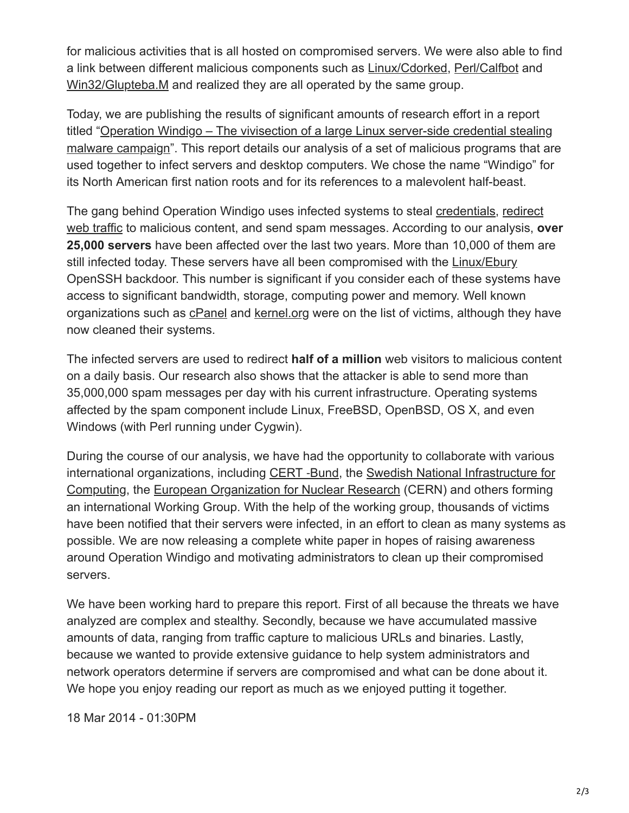for malicious activities that is all hosted on compromised servers. We were also able to find a link between different malicious components such as [Linux/Cdorked,](https://www.welivesecurity.com/2013/05/07/linuxcdorked-malware-lighttpd-and-nginx-web-servers-also-affected/) [Perl/Calfbot](http://www.virusradar.com/en/Perl_Calfbot/detail) and [Win32/Glupteba.M](http://www.virusradar.com/en/Win32_Glupteba.M/description) and realized they are all operated by the same group.

Today, we are publishing the results of significant amounts of research effort in a report titled "Operation Windigo – The vivisection of a large Linux server-side credential stealing [malware campaign". This report details our analysis of a set of malicious programs that ar](https://www.welivesecurity.com/wp-content/uploads/2014/03/operation_windigo.pdf)e used together to infect servers and desktop computers. We chose the name "Windigo" for its North American first nation roots and for its references to a malevolent half-beast.

[The gang behind Operation Windigo uses infected systems to steal credentials, redirect](https://www.welivesecurity.com/2013/04/26/linuxcdorked-new-apache-backdoor-in-the-wild-serves-blackhole/) web traffic to malicious content, and send spam messages. According to our analysis, **over 25,000 servers** have been affected over the last two years. More than 10,000 of them are still infected today. These servers have all been compromised with the [Linux/Ebury](https://www.welivesecurity.com/2014/02/21/an-in-depth-analysis-of-linuxebury/) OpenSSH backdoor. This number is significant if you consider each of these systems have access to significant bandwidth, storage, computing power and memory. Well known organizations such as [cPanel](http://docs.cpanel.net/twiki/bin/view/AllDocumentation/CompSystem) and [kernel.org](http://www.linuxfoundation.org/news-media/blogs/browse/2011/08/cracking-kernelorg) were on the list of victims, although they have now cleaned their systems.

The infected servers are used to redirect **half of a million** web visitors to malicious content on a daily basis. Our research also shows that the attacker is able to send more than 35,000,000 spam messages per day with his current infrastructure. Operating systems affected by the spam component include Linux, FreeBSD, OpenBSD, OS X, and even Windows (with Perl running under Cygwin).

During the course of our analysis, we have had the opportunity to collaborate with various international organizations, including [CERT](https://www.bsi.bund.de/EN/Topics/IT-Crisis-Management/Cert-Bund/cert-bund_node.html) -Bund, the Swedish National Infrastructure for [Computing, the European Organization for Nuclear Research \(CERN\) and others forming](http://www.snic.vr.se/) an international Working Group. With the help of the working group, thousands of victims have been notified that their servers were infected, in an effort to clean as many systems as possible. We are now releasing a complete white paper in hopes of raising awareness around Operation Windigo and motivating administrators to clean up their compromised servers.

We have been working hard to prepare this report. First of all because the threats we have analyzed are complex and stealthy. Secondly, because we have accumulated massive amounts of data, ranging from traffic capture to malicious URLs and binaries. Lastly, because we wanted to provide extensive guidance to help system administrators and network operators determine if servers are compromised and what can be done about it. We hope you enjoy reading our report as much as we enjoyed putting it together.

18 Mar 2014 - 01:30PM